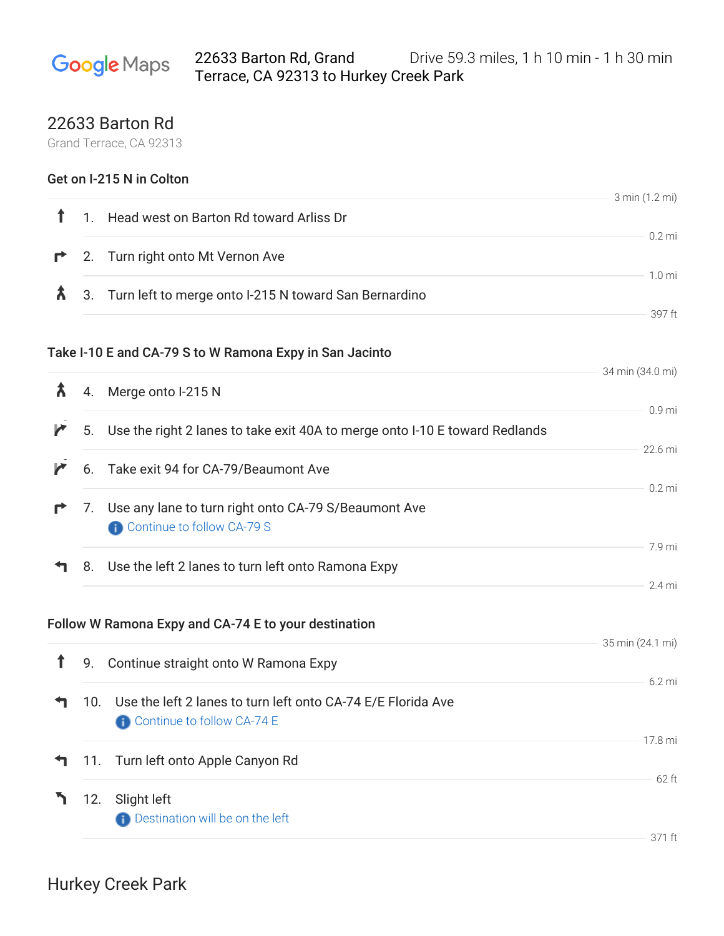## 22633 Barton Rd, Grand Drive 59.3 miles, 1 h 10 min - 1 h 30 min **Google** Maps Terrace, CA 92313 to Hurkey Creek Park

## 22633 Barton Rd

Grand Terrace, CA 92313

| Get on I-215 N in Colton |     |                                                                                       |                   |
|--------------------------|-----|---------------------------------------------------------------------------------------|-------------------|
| ↑                        |     | 1. Head west on Barton Rd toward Arliss Dr                                            | 3 min (1.2 mi)    |
| r                        |     | 2. Turn right onto Mt Vernon Ave                                                      | $0.2$ mi          |
| Â                        |     | 3. Turn left to merge onto I-215 N toward San Bernardino                              | 1.0 <sub>mi</sub> |
|                          |     |                                                                                       | 397 ft            |
|                          |     | Take I-10 E and CA-79 S to W Ramona Expy in San Jacinto                               |                   |
| Â                        | 4.  | Merge onto I-215 N                                                                    | 34 min (34.0 mi)  |
| r                        | 5.  | Use the right 2 lanes to take exit 40A to merge onto I-10 E toward Redlands           | 0.9 <sub>mi</sub> |
| r                        |     | 6. Take exit 94 for CA-79/Beaumont Ave                                                | 22.6 mi           |
|                          |     |                                                                                       | $0.2$ mi          |
| r                        |     | 7. Use any lane to turn right onto CA-79 S/Beaumont Ave<br>Continue to follow CA-79 S |                   |
|                          | 8.  | Use the left 2 lanes to turn left onto Ramona Expy                                    | 7.9 mi            |
|                          |     |                                                                                       | 2.4 mi            |
|                          |     | Follow W Ramona Expy and CA-74 E to your destination                                  |                   |
| $\mathbf{f}$             | 9.  | Continue straight onto W Ramona Expy                                                  | 35 min (24.1 mi)  |
|                          |     | 10. Use the left 2 lanes to turn left onto CA-74 E/E Florida Ave                      | 6.2 mi            |
|                          |     | Continue to follow CA-74 E                                                            |                   |
|                          | 11. | Turn left onto Apple Canyon Rd                                                        | 17.8 mi           |
|                          | 12. | Slight left                                                                           | 62 ft             |
|                          |     | <b>Destination will be on the left</b>                                                |                   |
|                          |     |                                                                                       | 371 ft            |